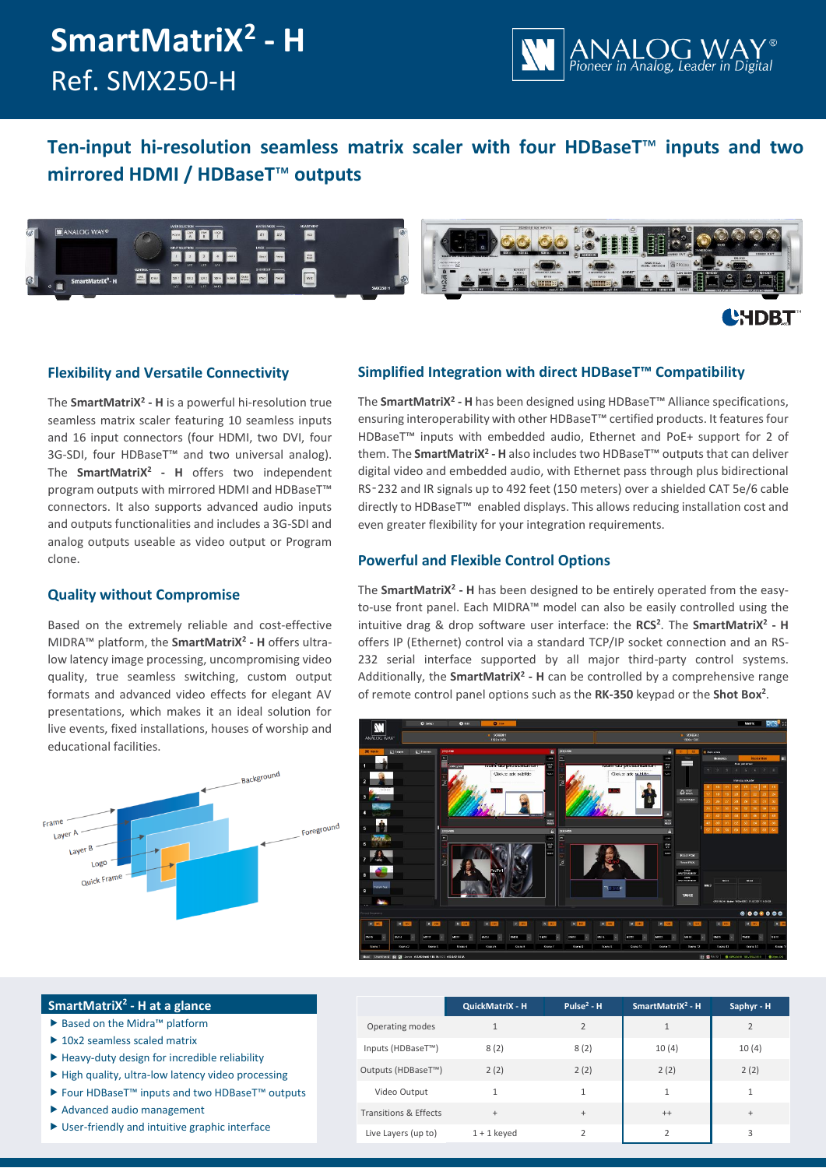# **SmartMatriX<sup>2</sup> - H** Ref. SMX250-H



# **Ten-input hi-resolution seamless matrix scaler with four HDBaseT**™ **inputs and two mirrored HDMI / HDBaseT**™ **outputs**



# **L'HDBT**

### **Flexibility and Versatile Connectivity**

The **SmartMatriX<sup>2</sup> - H** is a powerful hi-resolution true seamless matrix scaler featuring 10 seamless inputs and 16 input connectors (four HDMI, two DVI, four 3G-SDI, four HDBaseT™ and two universal analog). The **SmartMatriX<sup>2</sup> - H** offers two independent program outputs with mirrored HDMI and HDBaseT™ connectors. It also supports advanced audio inputs and outputs functionalities and includes a 3G-SDI and analog outputs useable as video output or Program clone.

### **Quality without Compromise**

Based on the extremely reliable and cost-effective MIDRA™ platform, the **SmartMatriX<sup>2</sup> - H** offers ultralow latency image processing, uncompromising video quality, true seamless switching, custom output formats and advanced video effects for elegant AV presentations, which makes it an ideal solution for live events, fixed installations, houses of worship and educational facilities.



**SmartMatriX<sup>2</sup> - H at a glance** ▶ Based on the Midra™ platform ▶ 10x2 seamless scaled matrix

Advanced audio management

 $\blacktriangleright$  Heavy-duty design for incredible reliability  $\blacktriangleright$  High quality, ultra-low latency video processing Four HDBaseT™ inputs and two HDBaseT™ outputs

User-friendly and intuitive graphic interface

## **Simplified Integration with direct HDBaseT™ Compatibility**

The **SmartMatriX<sup>2</sup> - H** has been designed using HDBaseT™ Alliance specifications, ensuring interoperability with other HDBaseT™ certified products. It features four HDBaseT™ inputs with embedded audio, Ethernet and PoE+ support for 2 of them. The **SmartMatriX<sup>2</sup> - H** also includes two HDBaseT™ outputs that can deliver digital video and embedded audio, with Ethernet pass through plus bidirectional RS‑232 and IR signals up to 492 feet (150 meters) over a shielded CAT 5e/6 cable directly to HDBaseT™ enabled displays. This allows reducing installation cost and even greater flexibility for your integration requirements.

## **Powerful and Flexible Control Options**

The **SmartMatriX<sup>2</sup> - H** has been designed to be entirely operated from the easyto-use front panel. Each MIDRA™ model can also be easily controlled using the intuitive drag & drop software user interface: the **RCS<sup>2</sup>** . The **SmartMatriX<sup>2</sup> - H** offers IP (Ethernet) control via a standard TCP/IP socket connection and an RS-232 serial interface supported by all major third-party control systems. Additionally, the **SmartMatriX<sup>2</sup> - H** can be controlled by a comprehensive range of remote control panel options such as the **RK-350** keypad or the **Shot Box<sup>2</sup>** .



|                                  | QuickMatriX - H | Pulse <sup>2</sup> - $H$ | SmartMatri $X^2$ - H | Saphyr - H     |
|----------------------------------|-----------------|--------------------------|----------------------|----------------|
| Operating modes                  |                 | $\overline{2}$           | $\mathbf{1}$         | $\overline{2}$ |
| Inputs (HDBaseT™)                | 8(2)            | 8(2)                     | 10(4)                | 10(4)          |
| Outputs (HDBaseT <sup>™</sup> )  | 2(2)            | 2(2)                     | 2(2)                 | 2(2)           |
| Video Output                     |                 | $\mathbf{1}$             | 1                    | 1              |
| <b>Transitions &amp; Effects</b> | $+$             | $+$                      | $^{++}$              | $^{+}$         |
| Live Layers (up to)              | $1 + 1$ keyed   | 2                        | $\overline{2}$       | 3              |